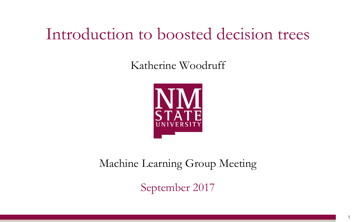# Introduction to boosted decision trees

Katherine Woodruff



### Machine Learning Group Meeting

September 2017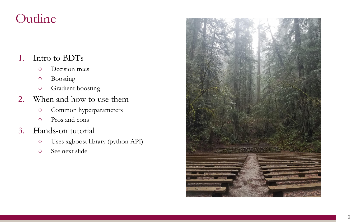### Outline

### 1. Intro to BDTs

- Decision trees
- Boosting
- Gradient boosting
- 2. When and how to use them
	- Common hyperparameters
	- Pros and cons
- 3. Hands-on tutorial
	- Uses xgboost library (python API)
	- See next slide

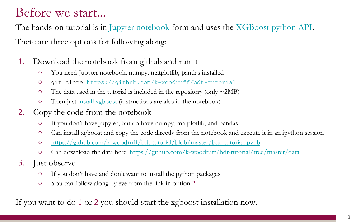### Before we start...

There are three options for following along: The hands-on tutorial is in <u>Jupyter notebook</u> form and uses the <u>XGBoost python API</u>.

- 1. Download the notebook from github and run it
	- You need Jupyter notebook, numpy, matplotlib, pandas installed
	- git clone<https://github.com/k-woodruff/bdt-tutorial>
	- $\circ$  The data used in the tutorial is included in the repository (only  $\sim$ 2MB)
	- Then just [install xgboost](http://xgboost.readthedocs.io/en/latest/build.html) (instructions are also in the notebook)
- 2. Copy the code from the notebook
	- If you don't have Jupyter, but do have numpy, matplotlib, and pandas
	- Can install xgboost and copy the code directly from the notebook and execute it in an ipython session
	- o [https://github.com/k-woodruff/bdt-tutorial/blob/master/bdt\\_tutorial.ipynb](https://github.com/k-woodruff/bdt-tutorial/blob/master/bdt_tutorial.ipynb)
	- <sup>o</sup> Can download the data here:<https://github.com/k-woodruff/bdt-tutorial/tree/master/data>
- 3. Just observe
	- If you don't have and don't want to install the python packages
	- You can follow along by eye from the link in option 2

If you want to do 1 or 2 you should start the xgboost installation now.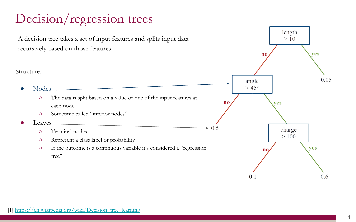# Decision/regression trees

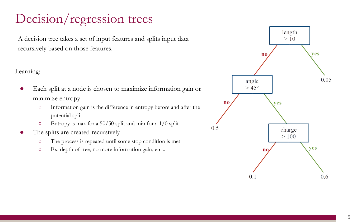## Decision/regression trees

A decision tree takes a set of input features and splits input data recursively based on those features.

#### Learning:

- Each split at a node is chosen to maximize information gain or minimize entropy
	- Information gain is the difference in entropy before and after the potential split
	- $\circ$  Entropy is max for a 50/50 split and min for a 1/0 split
- The splits are created recursively
	- The process is repeated until some stop condition is met
	- Ex: depth of tree, no more information gain, etc...

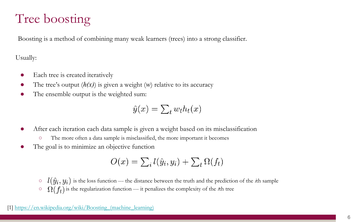## Tree boosting

Boosting is a method of combining many weak learners (trees) into a strong classifier.

Usually:

- Each tree is created iteratively
- The tree's output  $(h(x))$  is given a weight  $(w)$  relative to its accuracy
- The ensemble output is the weighted sum:

 $\hat{y}(x) = \sum_t w_t h_t(x)$ 

- After each iteration each data sample is given a weight based on its misclassification
	- The more often a data sample is misclassified, the more important it becomes
- The goal is to minimize an objective function

$$
O(x) = \sum_i l(\hat{y}_i, y_i) + \sum_t \Omega(f_t)
$$

 $\circ$   $l(\hat{y}_i, y_i)$  is the loss function --- the distance between the truth and the prediction of the *i*th sample  $\Omega(f_t)$  is the regularization function --- it penalizes the complexity of the *t*th tree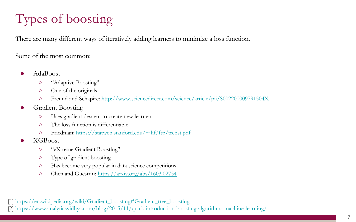# Types of boosting

There are many different ways of iteratively adding learners to minimize a loss function.

Some of the most common:

- AdaBoost
	- "Adaptive Boosting"
	- One of the originals
	- o Freund and Schapire:<http://www.sciencedirect.com/science/article/pii/S002200009791504X>
- **Gradient Boosting** 
	- Uses gradient descent to create new learners
	- The loss function is differentiable
	- Friedman: <https://statweb.stanford.edu/~jhf/ftp/trebst.pdf>
- XGBoost
	- "eXtreme Gradient Boosting"
	- Type of gradient boosting
	- Has become very popular in data science competitions
	- Chen and Guestrin: <https://arxiv.org/abs/1603.02754>

[1] [https://en.wikipedia.org/wiki/Gradient\\_boosting#Gradient\\_tree\\_boosting](https://en.wikipedia.org/wiki/Gradient_boosting#Gradient_tree_boosting)

[2]<https://www.analyticsvidhya.com/blog/2015/11/quick-introduction-boosting-algorithms-machine-learning/>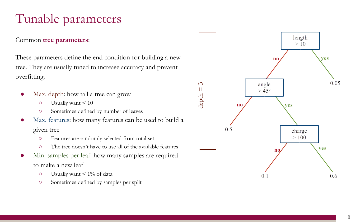# Tunable parameters

#### Common **tree parameters**:

These parameters define the end condition for building a new tree. They are usually tuned to increase accuracy and prevent overfitting.

- Max. depth: how tall a tree can grow
	- Usually want < 10
	- Sometimes defined by number of leaves
- Max. features: how many features can be used to build a given tree
	- Features are randomly selected from total set
	- The tree doesn't have to use all of the available features
- Min. samples per leaf: how many samples are required to make a new leaf
	- $\circ$  Usually want < 1% of data
	- Sometimes defined by samples per split

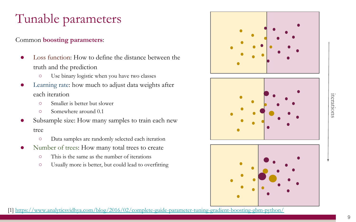# Tunable parameters

### Common **boosting parameters**:

- Loss function: How to define the distance between the truth and the prediction
	- Use binary logistic when you have two classes
- Learning rate: how much to adjust data weights after each iteration
	- Smaller is better but slower
	- Somewhere around 0.1
- Subsample size: How many samples to train each new tree
	- Data samples are randomly selected each iteration
- Number of trees: How many total trees to create
	- This is the same as the number of iterations
	- Usually more is better, but could lead to overfitting







[1] <https://www.analyticsvidhya.com/blog/2016/02/complete-guide-parameter-tuning-gradient-boosting-gbm-python/>

iterations

iterations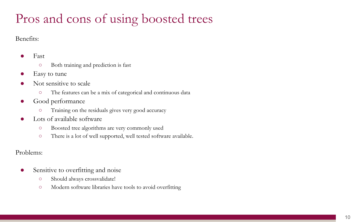# Pros and cons of using boosted trees

Benefits:

#### **Fast**

- Both training and prediction is fast
- Easy to tune
- Not sensitive to scale
	- The features can be a mix of categorical and continuous data
- Good performance
	- Training on the residuals gives very good accuracy
- Lots of available software
	- Boosted tree algorithms are very commonly used
	- There is a lot of well supported, well tested software available.

Problems:

- Sensitive to overfitting and noise
	- Should always crossvalidate!
	- Modern software libraries have tools to avoid overfitting